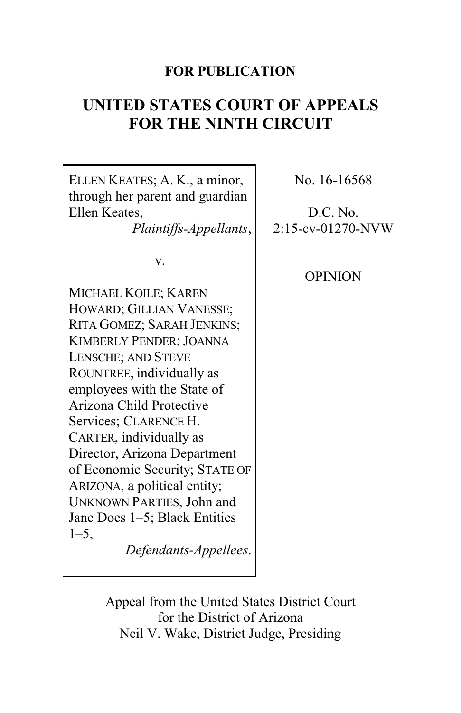# **FOR PUBLICATION**

# **UNITED STATES COURT OF APPEALS FOR THE NINTH CIRCUIT**

| ELLEN KEATES; A. K., a minor,<br>through her parent and guardian<br>Ellen Keates, | No. 16-16568<br>D.C. No. |
|-----------------------------------------------------------------------------------|--------------------------|
| Plaintiffs-Appellants,                                                            | 2:15-cv-01270-NVW        |
| V.                                                                                |                          |
|                                                                                   | <b>OPINION</b>           |
| MICHAEL KOILE; KAREN                                                              |                          |
| HOWARD; GILLIAN VANESSE;                                                          |                          |
| RITA GOMEZ; SARAH JENKINS;                                                        |                          |
| <b>KIMBERLY PENDER; JOANNA</b>                                                    |                          |
| <b>LENSCHE; AND STEVE</b>                                                         |                          |
| ROUNTREE, individually as                                                         |                          |
| employees with the State of                                                       |                          |
| Arizona Child Protective                                                          |                          |
| Services; CLARENCE H.                                                             |                          |
| CARTER, individually as                                                           |                          |
| Director, Arizona Department                                                      |                          |
| of Economic Security; STATE OF                                                    |                          |
| ARIZONA, a political entity;                                                      |                          |
| <b>UNKNOWN PARTIES, John and</b>                                                  |                          |
| Jane Does 1–5; Black Entities                                                     |                          |
| $1 - 5$ ,                                                                         |                          |
| Defendants-Appellees.                                                             |                          |

Appeal from the United States District Court for the District of Arizona Neil V. Wake, District Judge, Presiding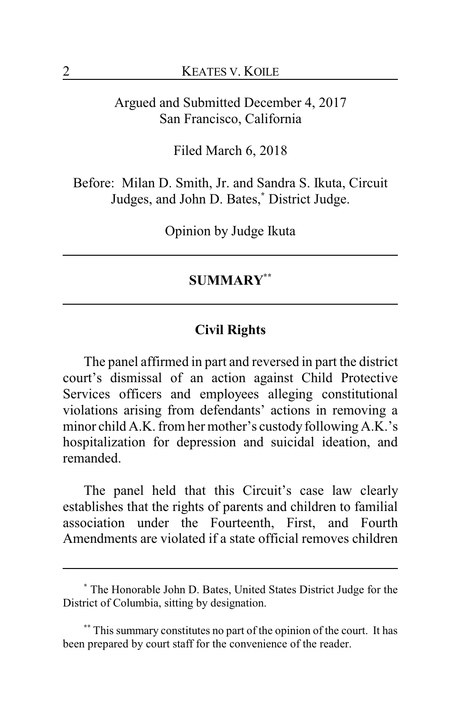Argued and Submitted December 4, 2017 San Francisco, California

Filed March 6, 2018

Before: Milan D. Smith, Jr. and Sandra S. Ikuta, Circuit Judges, and John D. Bates,**\*** District Judge.

Opinion by Judge Ikuta

### **SUMMARY\*\***

### **Civil Rights**

The panel affirmed in part and reversed in part the district court's dismissal of an action against Child Protective Services officers and employees alleging constitutional violations arising from defendants' actions in removing a minor child A.K. from her mother's custody following A.K.'s hospitalization for depression and suicidal ideation, and remanded.

The panel held that this Circuit's case law clearly establishes that the rights of parents and children to familial association under the Fourteenth, First, and Fourth Amendments are violated if a state official removes children

**<sup>\*</sup>** The Honorable John D. Bates, United States District Judge for the District of Columbia, sitting by designation.

**<sup>\*\*</sup>** This summary constitutes no part of the opinion of the court. It has been prepared by court staff for the convenience of the reader.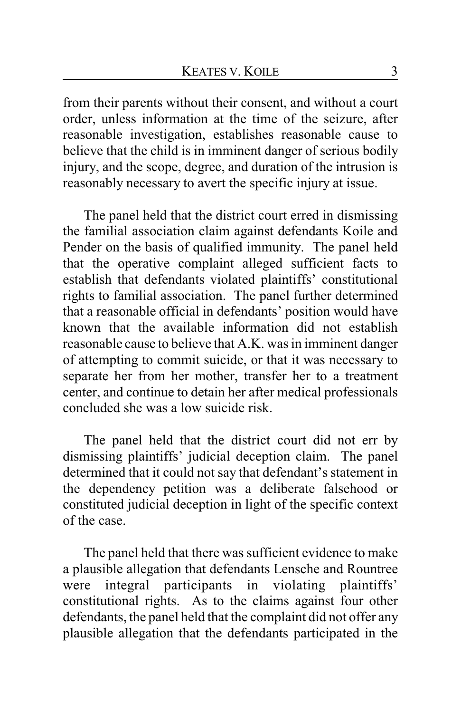from their parents without their consent, and without a court order, unless information at the time of the seizure, after reasonable investigation, establishes reasonable cause to believe that the child is in imminent danger of serious bodily injury, and the scope, degree, and duration of the intrusion is reasonably necessary to avert the specific injury at issue.

The panel held that the district court erred in dismissing the familial association claim against defendants Koile and Pender on the basis of qualified immunity. The panel held that the operative complaint alleged sufficient facts to establish that defendants violated plaintiffs' constitutional rights to familial association. The panel further determined that a reasonable official in defendants' position would have known that the available information did not establish reasonable cause to believe that A.K. was in imminent danger of attempting to commit suicide, or that it was necessary to separate her from her mother, transfer her to a treatment center, and continue to detain her after medical professionals concluded she was a low suicide risk.

The panel held that the district court did not err by dismissing plaintiffs' judicial deception claim. The panel determined that it could not say that defendant's statement in the dependency petition was a deliberate falsehood or constituted judicial deception in light of the specific context of the case.

The panel held that there was sufficient evidence to make a plausible allegation that defendants Lensche and Rountree were integral participants in violating plaintiffs' constitutional rights. As to the claims against four other defendants, the panel held that the complaint did not offer any plausible allegation that the defendants participated in the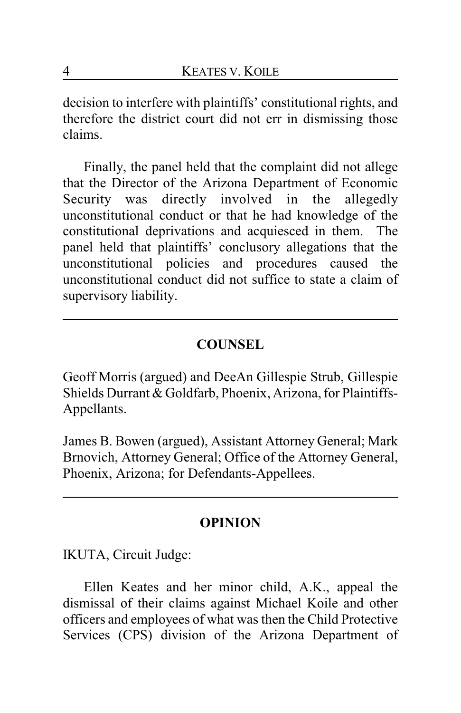decision to interfere with plaintiffs' constitutional rights, and therefore the district court did not err in dismissing those claims.

Finally, the panel held that the complaint did not allege that the Director of the Arizona Department of Economic Security was directly involved in the allegedly unconstitutional conduct or that he had knowledge of the constitutional deprivations and acquiesced in them. The panel held that plaintiffs' conclusory allegations that the unconstitutional policies and procedures caused the unconstitutional conduct did not suffice to state a claim of supervisory liability.

# **COUNSEL**

Geoff Morris (argued) and DeeAn Gillespie Strub, Gillespie Shields Durrant & Goldfarb, Phoenix, Arizona, for Plaintiffs-Appellants.

James B. Bowen (argued), Assistant Attorney General; Mark Brnovich, Attorney General; Office of the Attorney General, Phoenix, Arizona; for Defendants-Appellees.

# **OPINION**

IKUTA, Circuit Judge:

Ellen Keates and her minor child, A.K., appeal the dismissal of their claims against Michael Koile and other officers and employees of what was then the Child Protective Services (CPS) division of the Arizona Department of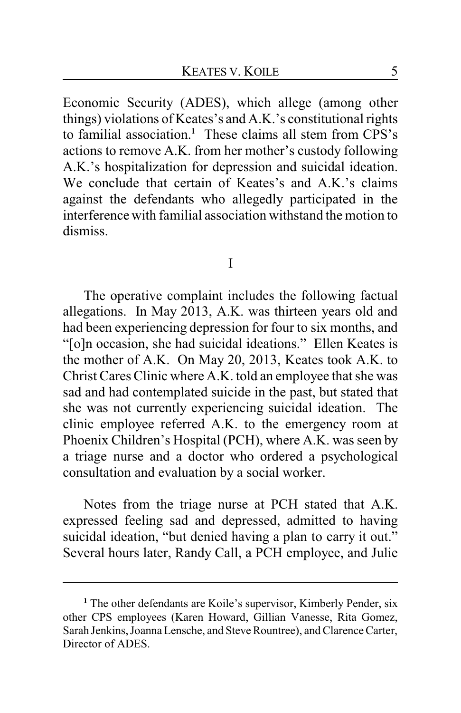Economic Security (ADES), which allege (among other things) violations of Keates's and A.K.'s constitutional rights to familial association.**<sup>1</sup>** These claims all stem from CPS's actions to remove A.K. from her mother's custody following A.K.'s hospitalization for depression and suicidal ideation. We conclude that certain of Keates's and A.K.'s claims against the defendants who allegedly participated in the interference with familial association withstand the motion to dismiss.

I

The operative complaint includes the following factual allegations. In May 2013, A.K. was thirteen years old and had been experiencing depression for four to six months, and "[o]n occasion, she had suicidal ideations." Ellen Keates is the mother of A.K. On May 20, 2013, Keates took A.K. to Christ Cares Clinic where A.K. told an employee that she was sad and had contemplated suicide in the past, but stated that she was not currently experiencing suicidal ideation. The clinic employee referred A.K. to the emergency room at Phoenix Children's Hospital (PCH), where A.K. was seen by a triage nurse and a doctor who ordered a psychological consultation and evaluation by a social worker.

Notes from the triage nurse at PCH stated that A.K. expressed feeling sad and depressed, admitted to having suicidal ideation, "but denied having a plan to carry it out." Several hours later, Randy Call, a PCH employee, and Julie

<sup>&</sup>lt;sup>1</sup> The other defendants are Koile's supervisor, Kimberly Pender, six other CPS employees (Karen Howard, Gillian Vanesse, Rita Gomez, Sarah Jenkins, Joanna Lensche, and Steve Rountree), and Clarence Carter, Director of ADES.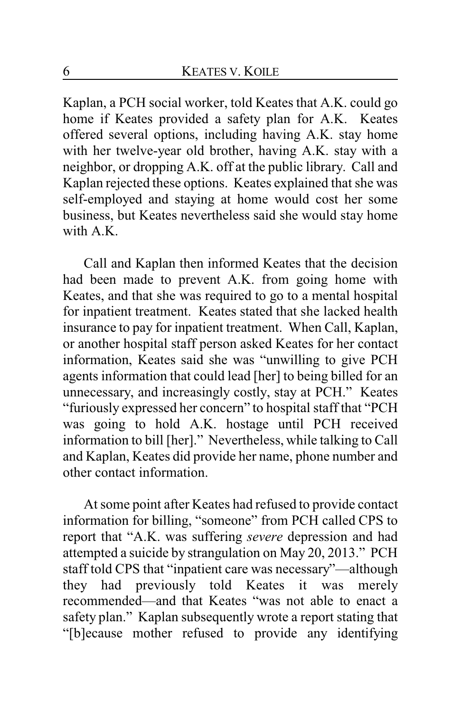Kaplan, a PCH social worker, told Keates that A.K. could go home if Keates provided a safety plan for A.K. Keates offered several options, including having A.K. stay home with her twelve-year old brother, having A.K. stay with a neighbor, or dropping A.K. off at the public library. Call and Kaplan rejected these options. Keates explained that she was self-employed and staying at home would cost her some business, but Keates nevertheless said she would stay home with A.K.

Call and Kaplan then informed Keates that the decision had been made to prevent A.K. from going home with Keates, and that she was required to go to a mental hospital for inpatient treatment. Keates stated that she lacked health insurance to pay for inpatient treatment. When Call, Kaplan, or another hospital staff person asked Keates for her contact information, Keates said she was "unwilling to give PCH agents information that could lead [her] to being billed for an unnecessary, and increasingly costly, stay at PCH." Keates "furiously expressed her concern" to hospital staff that "PCH was going to hold A.K. hostage until PCH received information to bill [her]." Nevertheless, while talking to Call and Kaplan, Keates did provide her name, phone number and other contact information.

At some point after Keates had refused to provide contact information for billing, "someone" from PCH called CPS to report that "A.K. was suffering *severe* depression and had attempted a suicide by strangulation on May 20, 2013." PCH staff told CPS that "inpatient care was necessary"—although they had previously told Keates it was merely recommended—and that Keates "was not able to enact a safety plan." Kaplan subsequently wrote a report stating that "[b]ecause mother refused to provide any identifying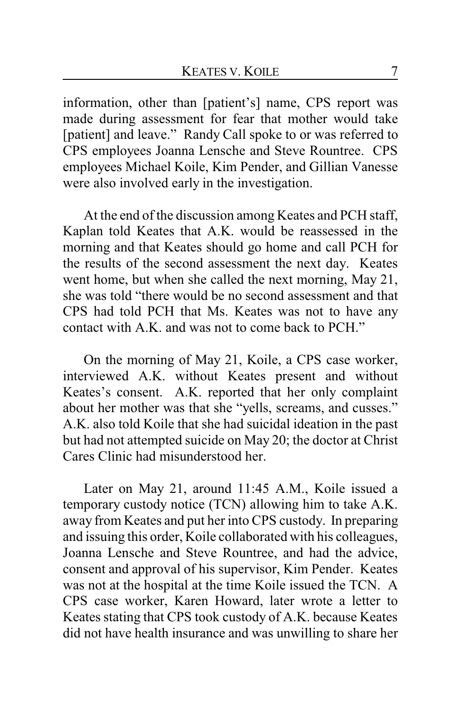information, other than [patient's] name, CPS report was made during assessment for fear that mother would take [patient] and leave." Randy Call spoke to or was referred to CPS employees Joanna Lensche and Steve Rountree. CPS employees Michael Koile, Kim Pender, and Gillian Vanesse were also involved early in the investigation.

At the end of the discussion among Keates and PCH staff, Kaplan told Keates that A.K. would be reassessed in the morning and that Keates should go home and call PCH for the results of the second assessment the next day. Keates went home, but when she called the next morning, May 21, she was told "there would be no second assessment and that CPS had told PCH that Ms. Keates was not to have any contact with A.K. and was not to come back to PCH."

On the morning of May 21, Koile, a CPS case worker, interviewed A.K. without Keates present and without Keates's consent. A.K. reported that her only complaint about her mother was that she "yells, screams, and cusses." A.K. also told Koile that she had suicidal ideation in the past but had not attempted suicide on May 20; the doctor at Christ Cares Clinic had misunderstood her.

Later on May 21, around 11:45 A.M., Koile issued a temporary custody notice (TCN) allowing him to take A.K. away from Keates and put her into CPS custody. In preparing and issuing this order, Koile collaborated with his colleagues, Joanna Lensche and Steve Rountree, and had the advice, consent and approval of his supervisor, Kim Pender. Keates was not at the hospital at the time Koile issued the TCN. A CPS case worker, Karen Howard, later wrote a letter to Keates stating that CPS took custody of A.K. because Keates did not have health insurance and was unwilling to share her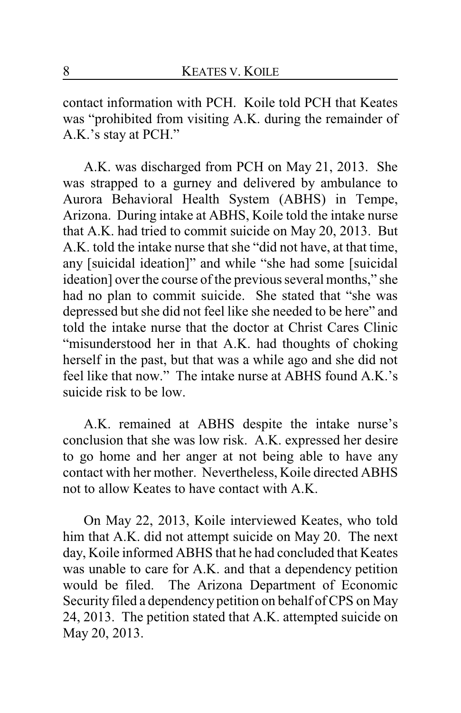contact information with PCH. Koile told PCH that Keates was "prohibited from visiting A.K. during the remainder of A.K.'s stay at PCH."

A.K. was discharged from PCH on May 21, 2013. She was strapped to a gurney and delivered by ambulance to Aurora Behavioral Health System (ABHS) in Tempe, Arizona. During intake at ABHS, Koile told the intake nurse that A.K. had tried to commit suicide on May 20, 2013. But A.K. told the intake nurse that she "did not have, at that time, any [suicidal ideation]" and while "she had some [suicidal ideation] over the course of the previous several months," she had no plan to commit suicide. She stated that "she was depressed but she did not feel like she needed to be here" and told the intake nurse that the doctor at Christ Cares Clinic "misunderstood her in that A.K. had thoughts of choking herself in the past, but that was a while ago and she did not feel like that now." The intake nurse at ABHS found A.K.'s suicide risk to be low.

A.K. remained at ABHS despite the intake nurse's conclusion that she was low risk. A.K. expressed her desire to go home and her anger at not being able to have any contact with her mother. Nevertheless, Koile directed ABHS not to allow Keates to have contact with A.K.

On May 22, 2013, Koile interviewed Keates, who told him that A.K. did not attempt suicide on May 20. The next day, Koile informed ABHS that he had concluded that Keates was unable to care for A.K. and that a dependency petition would be filed. The Arizona Department of Economic Security filed a dependencypetition on behalf of CPS on May 24, 2013. The petition stated that A.K. attempted suicide on May 20, 2013.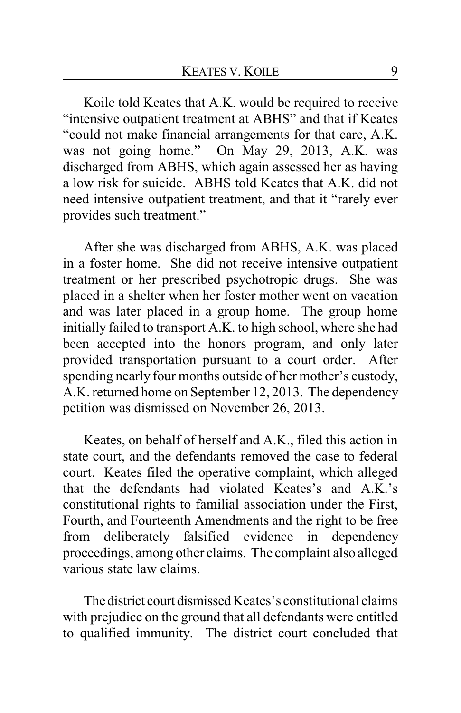Koile told Keates that A.K. would be required to receive "intensive outpatient treatment at ABHS" and that if Keates "could not make financial arrangements for that care, A.K. was not going home." On May 29, 2013, A.K. was discharged from ABHS, which again assessed her as having a low risk for suicide. ABHS told Keates that A.K. did not need intensive outpatient treatment, and that it "rarely ever provides such treatment."

After she was discharged from ABHS, A.K. was placed in a foster home. She did not receive intensive outpatient treatment or her prescribed psychotropic drugs. She was placed in a shelter when her foster mother went on vacation and was later placed in a group home. The group home initially failed to transport A.K. to high school, where she had been accepted into the honors program, and only later provided transportation pursuant to a court order. After spending nearly four months outside of her mother's custody, A.K. returned home on September 12, 2013. The dependency petition was dismissed on November 26, 2013.

Keates, on behalf of herself and A.K., filed this action in state court, and the defendants removed the case to federal court. Keates filed the operative complaint, which alleged that the defendants had violated Keates's and A.K.'s constitutional rights to familial association under the First, Fourth, and Fourteenth Amendments and the right to be free from deliberately falsified evidence in dependency proceedings, among other claims. The complaint also alleged various state law claims.

The district court dismissed Keates's constitutional claims with prejudice on the ground that all defendants were entitled to qualified immunity. The district court concluded that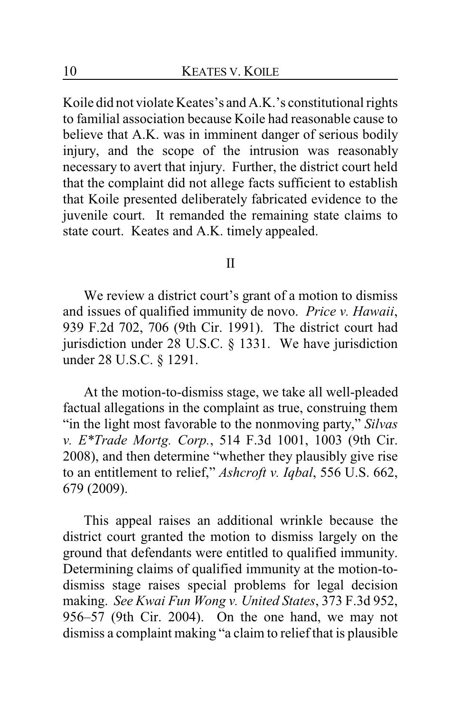Koile did not violate Keates's and A.K.'s constitutional rights to familial association because Koile had reasonable cause to believe that A.K. was in imminent danger of serious bodily injury, and the scope of the intrusion was reasonably necessary to avert that injury. Further, the district court held that the complaint did not allege facts sufficient to establish that Koile presented deliberately fabricated evidence to the juvenile court. It remanded the remaining state claims to state court. Keates and A.K. timely appealed.

#### II

We review a district court's grant of a motion to dismiss and issues of qualified immunity de novo. *Price v. Hawaii*, 939 F.2d 702, 706 (9th Cir. 1991). The district court had jurisdiction under 28 U.S.C. § 1331. We have jurisdiction under 28 U.S.C. § 1291.

At the motion-to-dismiss stage, we take all well-pleaded factual allegations in the complaint as true, construing them "in the light most favorable to the nonmoving party," *Silvas v. E\*Trade Mortg. Corp.*, 514 F.3d 1001, 1003 (9th Cir. 2008), and then determine "whether they plausibly give rise to an entitlement to relief," *Ashcroft v. Iqbal*, 556 U.S. 662, 679 (2009).

This appeal raises an additional wrinkle because the district court granted the motion to dismiss largely on the ground that defendants were entitled to qualified immunity. Determining claims of qualified immunity at the motion-todismiss stage raises special problems for legal decision making. *See Kwai Fun Wong v. United States*, 373 F.3d 952, 956–57 (9th Cir. 2004). On the one hand, we may not dismiss a complaint making "a claim to relief that is plausible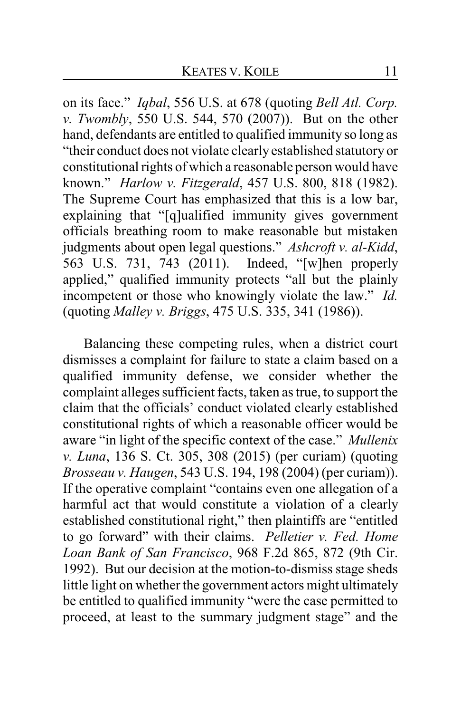on its face." *Iqbal*, 556 U.S. at 678 (quoting *Bell Atl. Corp. v. Twombly*, 550 U.S. 544, 570 (2007)). But on the other hand, defendants are entitled to qualified immunity so long as "their conduct does not violate clearly established statutory or constitutional rights of which a reasonable person would have known." *Harlow v. Fitzgerald*, 457 U.S. 800, 818 (1982). The Supreme Court has emphasized that this is a low bar, explaining that "[q]ualified immunity gives government officials breathing room to make reasonable but mistaken judgments about open legal questions." *Ashcroft v. al-Kidd*, 563 U.S. 731, 743 (2011). Indeed, "[w]hen properly 563 U.S. 731, 743 (2011). applied," qualified immunity protects "all but the plainly incompetent or those who knowingly violate the law." *Id.* (quoting *Malley v. Briggs*, 475 U.S. 335, 341 (1986)).

Balancing these competing rules, when a district court dismisses a complaint for failure to state a claim based on a qualified immunity defense, we consider whether the complaint alleges sufficient facts, taken as true, to support the claim that the officials' conduct violated clearly established constitutional rights of which a reasonable officer would be aware "in light of the specific context of the case." *Mullenix v. Luna*, 136 S. Ct. 305, 308 (2015) (per curiam) (quoting *Brosseau v. Haugen*, 543 U.S. 194, 198 (2004) (per curiam)). If the operative complaint "contains even one allegation of a harmful act that would constitute a violation of a clearly established constitutional right," then plaintiffs are "entitled to go forward" with their claims. *Pelletier v. Fed. Home Loan Bank of San Francisco*, 968 F.2d 865, 872 (9th Cir. 1992). But our decision at the motion-to-dismiss stage sheds little light on whether the government actors might ultimately be entitled to qualified immunity "were the case permitted to proceed, at least to the summary judgment stage" and the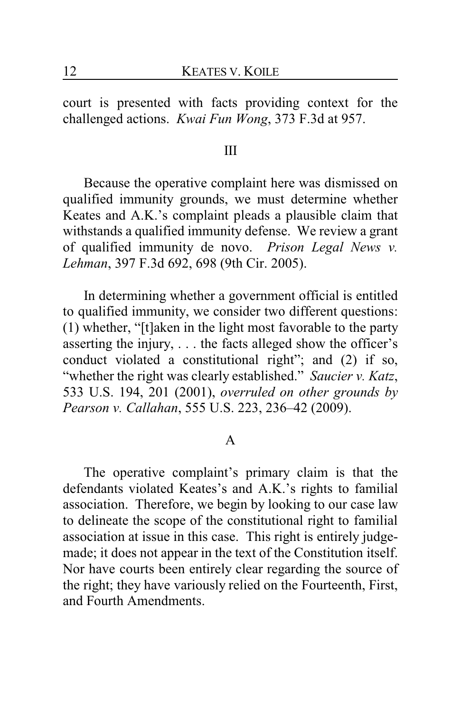court is presented with facts providing context for the challenged actions. *Kwai Fun Wong*, 373 F.3d at 957.

#### III

Because the operative complaint here was dismissed on qualified immunity grounds, we must determine whether Keates and A.K.'s complaint pleads a plausible claim that withstands a qualified immunity defense. We review a grant of qualified immunity de novo. *Prison Legal News v. Lehman*, 397 F.3d 692, 698 (9th Cir. 2005).

In determining whether a government official is entitled to qualified immunity, we consider two different questions: (1) whether, "[t]aken in the light most favorable to the party asserting the injury, . . . the facts alleged show the officer's conduct violated a constitutional right"; and (2) if so, "whether the right was clearly established." *Saucier v. Katz*, 533 U.S. 194, 201 (2001), *overruled on other grounds by Pearson v. Callahan*, 555 U.S. 223, 236–42 (2009).

#### A

The operative complaint's primary claim is that the defendants violated Keates's and A.K.'s rights to familial association. Therefore, we begin by looking to our case law to delineate the scope of the constitutional right to familial association at issue in this case. This right is entirely judgemade; it does not appear in the text of the Constitution itself. Nor have courts been entirely clear regarding the source of the right; they have variously relied on the Fourteenth, First, and Fourth Amendments.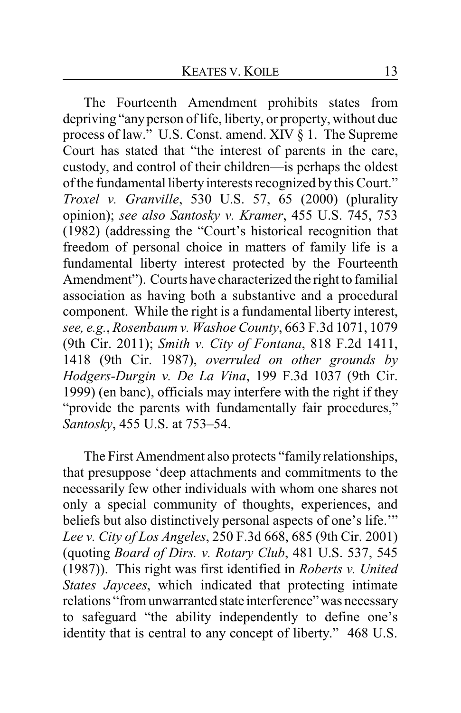The Fourteenth Amendment prohibits states from depriving "anyperson of life, liberty, or property, without due process of law." U.S. Const. amend. XIV § 1. The Supreme Court has stated that "the interest of parents in the care, custody, and control of their children—is perhaps the oldest of the fundamental liberty interests recognized by this Court." *Troxel v. Granville*, 530 U.S. 57, 65 (2000) (plurality opinion); *see also Santosky v. Kramer*, 455 U.S. 745, 753 (1982) (addressing the "Court's historical recognition that freedom of personal choice in matters of family life is a fundamental liberty interest protected by the Fourteenth Amendment"). Courts have characterized the right to familial association as having both a substantive and a procedural component. While the right is a fundamental liberty interest, *see, e.g.*, *Rosenbaum v. Washoe County*, 663 F.3d 1071, 1079 (9th Cir. 2011); *Smith v. City of Fontana*, 818 F.2d 1411, 1418 (9th Cir. 1987), *overruled on other grounds by Hodgers-Durgin v. De La Vina*, 199 F.3d 1037 (9th Cir. 1999) (en banc), officials may interfere with the right if they "provide the parents with fundamentally fair procedures," *Santosky*, 455 U.S. at 753–54.

The First Amendment also protects "family relationships, that presuppose 'deep attachments and commitments to the necessarily few other individuals with whom one shares not only a special community of thoughts, experiences, and beliefs but also distinctively personal aspects of one's life.'" *Lee v. City of Los Angeles*, 250 F.3d 668, 685 (9th Cir. 2001) (quoting *Board of Dirs. v. Rotary Club*, 481 U.S. 537, 545 (1987)). This right was first identified in *Roberts v. United States Jaycees*, which indicated that protecting intimate relations "from unwarranted state interference" was necessary to safeguard "the ability independently to define one's identity that is central to any concept of liberty." 468 U.S.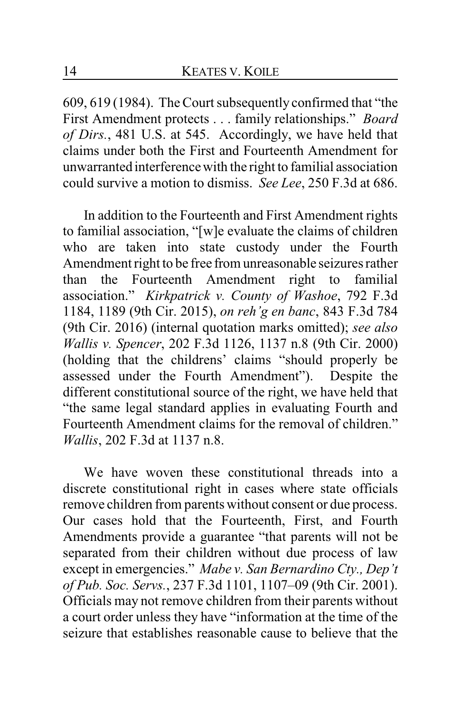609, 619 (1984). The Court subsequently confirmed that "the First Amendment protects . . . family relationships." *Board of Dirs.*, 481 U.S. at 545. Accordingly, we have held that claims under both the First and Fourteenth Amendment for unwarranted interference with the right to familial association could survive a motion to dismiss. *See Lee*, 250 F.3d at 686.

In addition to the Fourteenth and First Amendment rights to familial association, "[w]e evaluate the claims of children who are taken into state custody under the Fourth Amendment right to be free from unreasonable seizures rather than the Fourteenth Amendment right to familial association." *Kirkpatrick v. County of Washoe*, 792 F.3d 1184, 1189 (9th Cir. 2015), *on reh'g en banc*, 843 F.3d 784 (9th Cir. 2016) (internal quotation marks omitted); *see also Wallis v. Spencer*, 202 F.3d 1126, 1137 n.8 (9th Cir. 2000) (holding that the childrens' claims "should properly be assessed under the Fourth Amendment"). Despite the different constitutional source of the right, we have held that "the same legal standard applies in evaluating Fourth and Fourteenth Amendment claims for the removal of children." *Wallis*, 202 F.3d at 1137 n.8.

We have woven these constitutional threads into a discrete constitutional right in cases where state officials remove children from parents without consent or due process. Our cases hold that the Fourteenth, First, and Fourth Amendments provide a guarantee "that parents will not be separated from their children without due process of law except in emergencies." *Mabe v. San Bernardino Cty., Dep't of Pub. Soc. Servs.*, 237 F.3d 1101, 1107–09 (9th Cir. 2001). Officials may not remove children from their parents without a court order unless they have "information at the time of the seizure that establishes reasonable cause to believe that the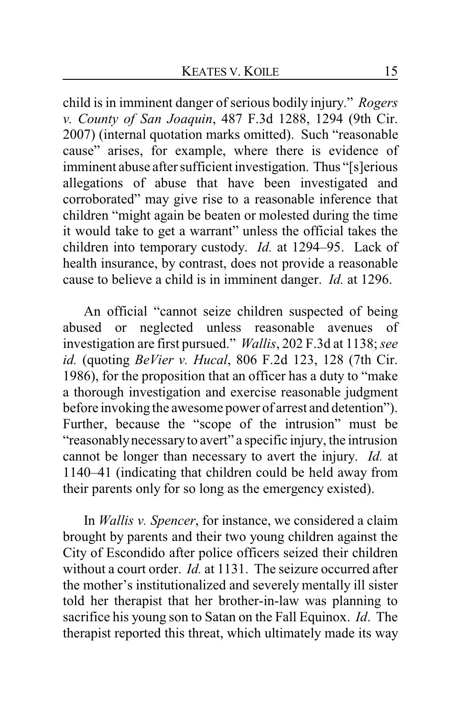child is in imminent danger of serious bodily injury." *Rogers v. County of San Joaquin*, 487 F.3d 1288, 1294 (9th Cir. 2007) (internal quotation marks omitted). Such "reasonable cause" arises, for example, where there is evidence of imminent abuse after sufficient investigation. Thus "[s]erious allegations of abuse that have been investigated and corroborated" may give rise to a reasonable inference that children "might again be beaten or molested during the time it would take to get a warrant" unless the official takes the children into temporary custody. *Id.* at 1294–95. Lack of health insurance, by contrast, does not provide a reasonable cause to believe a child is in imminent danger. *Id.* at 1296.

An official "cannot seize children suspected of being abused or neglected unless reasonable avenues of investigation are first pursued." *Wallis*, 202 F.3d at 1138; *see id.* (quoting *BeVier v. Hucal*, 806 F.2d 123, 128 (7th Cir. 1986), for the proposition that an officer has a duty to "make a thorough investigation and exercise reasonable judgment before invoking the awesome power of arrest and detention"). Further, because the "scope of the intrusion" must be "reasonablynecessaryto avert" a specific injury, the intrusion cannot be longer than necessary to avert the injury. *Id.* at 1140–41 (indicating that children could be held away from their parents only for so long as the emergency existed).

In *Wallis v. Spencer*, for instance, we considered a claim brought by parents and their two young children against the City of Escondido after police officers seized their children without a court order. *Id.* at 1131. The seizure occurred after the mother's institutionalized and severely mentally ill sister told her therapist that her brother-in-law was planning to sacrifice his young son to Satan on the Fall Equinox. *Id*. The therapist reported this threat, which ultimately made its way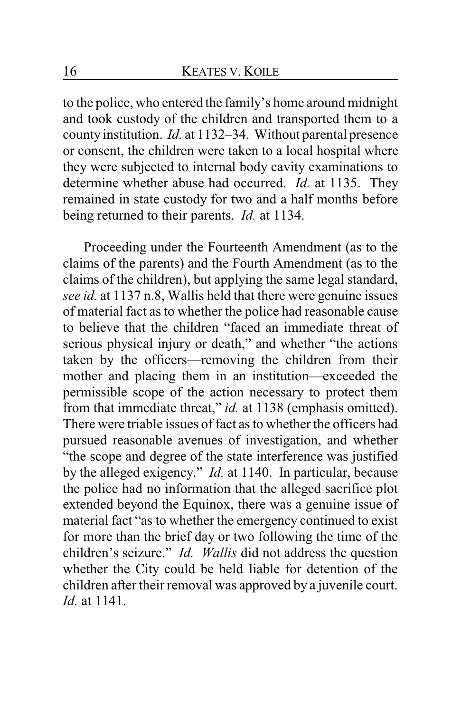to the police, who entered the family's home around midnight and took custody of the children and transported them to a county institution. *Id.* at 1132–34. Without parental presence or consent, the children were taken to a local hospital where they were subjected to internal body cavity examinations to determine whether abuse had occurred. *Id.* at 1135. They remained in state custody for two and a half months before being returned to their parents. *Id.* at 1134.

Proceeding under the Fourteenth Amendment (as to the claims of the parents) and the Fourth Amendment (as to the claims of the children), but applying the same legal standard, *see id.* at 1137 n.8, Wallis held that there were genuine issues of material fact as to whether the police had reasonable cause to believe that the children "faced an immediate threat of serious physical injury or death," and whether "the actions taken by the officers—removing the children from their mother and placing them in an institution—exceeded the permissible scope of the action necessary to protect them from that immediate threat," *id.* at 1138 (emphasis omitted). There were triable issues of fact as to whether the officers had pursued reasonable avenues of investigation, and whether "the scope and degree of the state interference was justified by the alleged exigency." *Id.* at 1140. In particular, because the police had no information that the alleged sacrifice plot extended beyond the Equinox, there was a genuine issue of material fact "as to whether the emergency continued to exist for more than the brief day or two following the time of the children's seizure." *Id. Wallis* did not address the question whether the City could be held liable for detention of the children after their removal was approved by a juvenile court. *Id.* at 1141.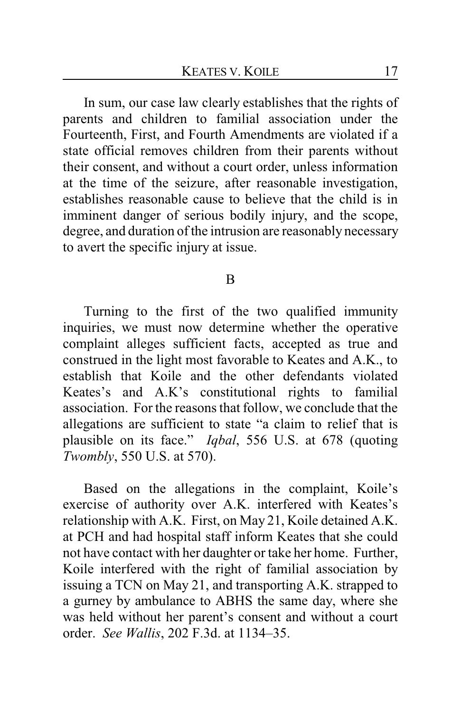In sum, our case law clearly establishes that the rights of parents and children to familial association under the Fourteenth, First, and Fourth Amendments are violated if a state official removes children from their parents without their consent, and without a court order, unless information at the time of the seizure, after reasonable investigation, establishes reasonable cause to believe that the child is in imminent danger of serious bodily injury, and the scope, degree, and duration of the intrusion are reasonably necessary to avert the specific injury at issue.

#### B

Turning to the first of the two qualified immunity inquiries, we must now determine whether the operative complaint alleges sufficient facts, accepted as true and construed in the light most favorable to Keates and A.K., to establish that Koile and the other defendants violated Keates's and A.K's constitutional rights to familial association. For the reasons that follow, we conclude that the allegations are sufficient to state "a claim to relief that is plausible on its face." *Iqbal*, 556 U.S. at 678 (quoting *Twombly*, 550 U.S. at 570).

Based on the allegations in the complaint, Koile's exercise of authority over A.K. interfered with Keates's relationship with A.K. First, on May 21, Koile detained A.K. at PCH and had hospital staff inform Keates that she could not have contact with her daughter or take her home. Further, Koile interfered with the right of familial association by issuing a TCN on May 21, and transporting A.K. strapped to a gurney by ambulance to ABHS the same day, where she was held without her parent's consent and without a court order. *See Wallis*, 202 F.3d. at 1134–35.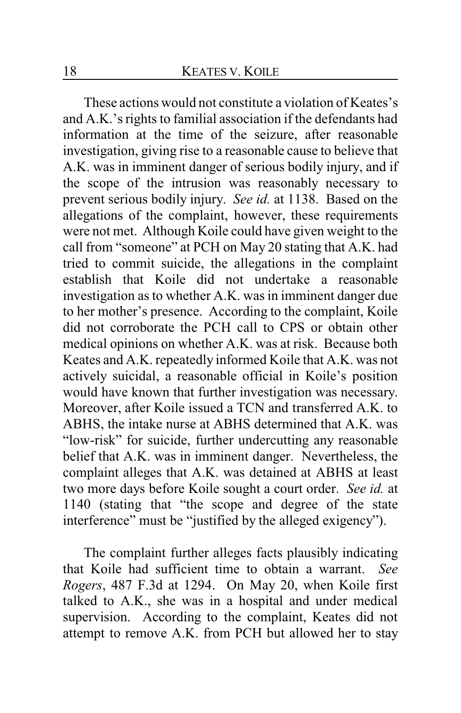These actions would not constitute a violation of Keates's and A.K.'s rights to familial association if the defendants had information at the time of the seizure, after reasonable investigation, giving rise to a reasonable cause to believe that A.K. was in imminent danger of serious bodily injury, and if the scope of the intrusion was reasonably necessary to prevent serious bodily injury. *See id.* at 1138. Based on the allegations of the complaint, however, these requirements were not met. Although Koile could have given weight to the call from "someone" at PCH on May 20 stating that A.K. had tried to commit suicide, the allegations in the complaint establish that Koile did not undertake a reasonable investigation as to whether A.K. was in imminent danger due to her mother's presence. According to the complaint, Koile did not corroborate the PCH call to CPS or obtain other medical opinions on whether A.K. was at risk. Because both Keates and A.K. repeatedly informed Koile that A.K. was not actively suicidal, a reasonable official in Koile's position would have known that further investigation was necessary. Moreover, after Koile issued a TCN and transferred A.K. to ABHS, the intake nurse at ABHS determined that A.K. was "low-risk" for suicide, further undercutting any reasonable belief that A.K. was in imminent danger. Nevertheless, the complaint alleges that A.K. was detained at ABHS at least two more days before Koile sought a court order. *See id.* at 1140 (stating that "the scope and degree of the state interference" must be "justified by the alleged exigency").

The complaint further alleges facts plausibly indicating that Koile had sufficient time to obtain a warrant. *See Rogers*, 487 F.3d at 1294. On May 20, when Koile first talked to A.K., she was in a hospital and under medical supervision. According to the complaint, Keates did not attempt to remove A.K. from PCH but allowed her to stay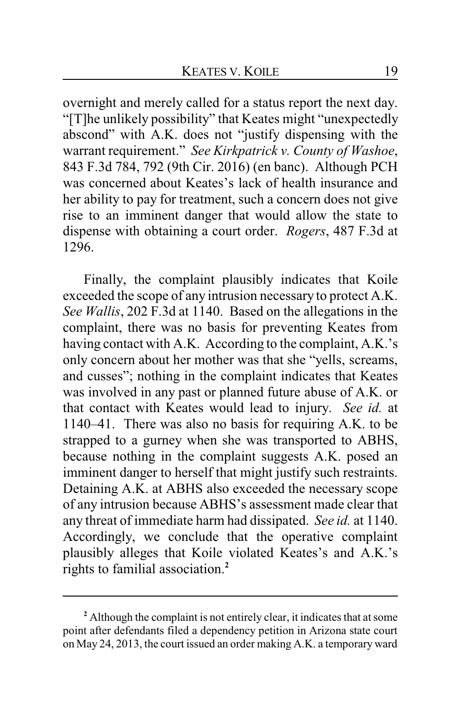overnight and merely called for a status report the next day. "[T]he unlikely possibility" that Keates might "unexpectedly abscond" with A.K. does not "justify dispensing with the warrant requirement." *See Kirkpatrick v. County of Washoe*, 843 F.3d 784, 792 (9th Cir. 2016) (en banc). Although PCH was concerned about Keates's lack of health insurance and her ability to pay for treatment, such a concern does not give rise to an imminent danger that would allow the state to dispense with obtaining a court order. *Rogers*, 487 F.3d at 1296.

Finally, the complaint plausibly indicates that Koile exceeded the scope of any intrusion necessary to protect A.K. *See Wallis*, 202 F.3d at 1140. Based on the allegations in the complaint, there was no basis for preventing Keates from having contact with A.K. According to the complaint, A.K.'s only concern about her mother was that she "yells, screams, and cusses"; nothing in the complaint indicates that Keates was involved in any past or planned future abuse of A.K. or that contact with Keates would lead to injury. *See id.* at 1140–41. There was also no basis for requiring A.K. to be strapped to a gurney when she was transported to ABHS, because nothing in the complaint suggests A.K. posed an imminent danger to herself that might justify such restraints. Detaining A.K. at ABHS also exceeded the necessary scope of any intrusion because ABHS's assessment made clear that any threat of immediate harm had dissipated. *See id.* at 1140. Accordingly, we conclude that the operative complaint plausibly alleges that Koile violated Keates's and A.K.'s rights to familial association.**<sup>2</sup>**

**<sup>2</sup>** Although the complaint is not entirely clear, it indicates that at some point after defendants filed a dependency petition in Arizona state court on May 24, 2013, the court issued an order making A.K. a temporary ward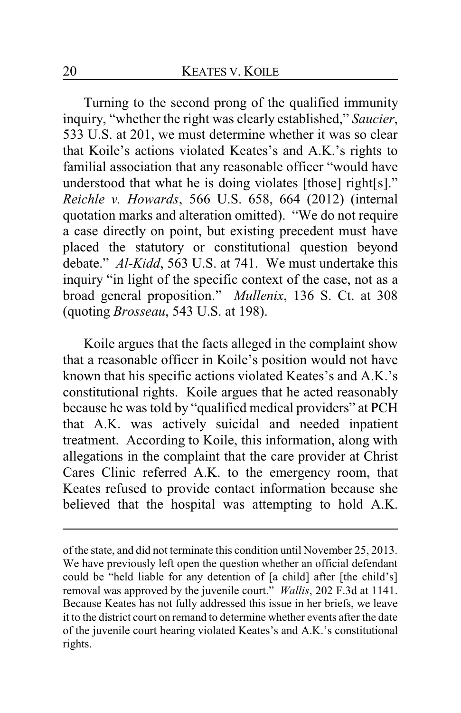Turning to the second prong of the qualified immunity inquiry, "whether the right was clearly established," *Saucier*, 533 U.S. at 201, we must determine whether it was so clear that Koile's actions violated Keates's and A.K.'s rights to familial association that any reasonable officer "would have understood that what he is doing violates [those] right[s]." *Reichle v. Howards*, 566 U.S. 658, 664 (2012) (internal quotation marks and alteration omitted). "We do not require a case directly on point, but existing precedent must have placed the statutory or constitutional question beyond debate." *Al-Kidd*, 563 U.S. at 741. We must undertake this inquiry "in light of the specific context of the case, not as a broad general proposition." *Mullenix*, 136 S. Ct. at 308 (quoting *Brosseau*, 543 U.S. at 198).

Koile argues that the facts alleged in the complaint show that a reasonable officer in Koile's position would not have known that his specific actions violated Keates's and A.K.'s constitutional rights. Koile argues that he acted reasonably because he was told by "qualified medical providers" at PCH that A.K. was actively suicidal and needed inpatient treatment. According to Koile, this information, along with allegations in the complaint that the care provider at Christ Cares Clinic referred A.K. to the emergency room, that Keates refused to provide contact information because she believed that the hospital was attempting to hold A.K.

of the state, and did not terminate this condition until November 25, 2013. We have previously left open the question whether an official defendant could be "held liable for any detention of [a child] after [the child's] removal was approved by the juvenile court." *Wallis*, 202 F.3d at 1141. Because Keates has not fully addressed this issue in her briefs, we leave it to the district court on remand to determine whether events after the date of the juvenile court hearing violated Keates's and A.K.'s constitutional rights.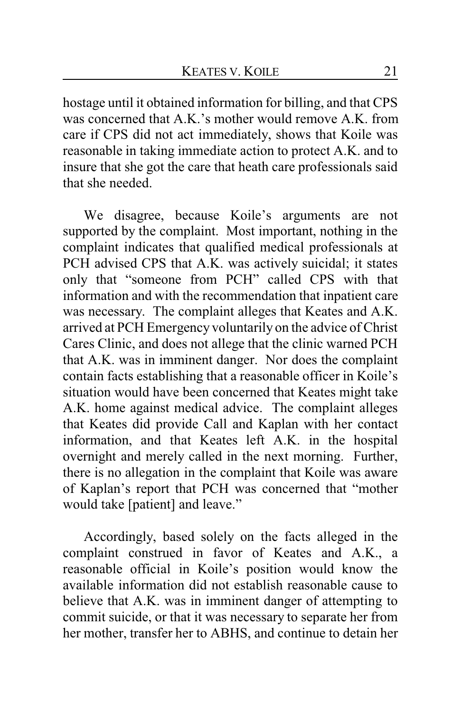hostage until it obtained information for billing, and that CPS was concerned that A.K.'s mother would remove A.K. from care if CPS did not act immediately, shows that Koile was reasonable in taking immediate action to protect A.K. and to insure that she got the care that heath care professionals said that she needed.

We disagree, because Koile's arguments are not supported by the complaint. Most important, nothing in the complaint indicates that qualified medical professionals at PCH advised CPS that A.K. was actively suicidal; it states only that "someone from PCH" called CPS with that information and with the recommendation that inpatient care was necessary. The complaint alleges that Keates and A.K. arrived at PCH Emergency voluntarily on the advice of Christ Cares Clinic, and does not allege that the clinic warned PCH that A.K. was in imminent danger. Nor does the complaint contain facts establishing that a reasonable officer in Koile's situation would have been concerned that Keates might take A.K. home against medical advice. The complaint alleges that Keates did provide Call and Kaplan with her contact information, and that Keates left A.K. in the hospital overnight and merely called in the next morning. Further, there is no allegation in the complaint that Koile was aware of Kaplan's report that PCH was concerned that "mother would take [patient] and leave."

Accordingly, based solely on the facts alleged in the complaint construed in favor of Keates and A.K., a reasonable official in Koile's position would know the available information did not establish reasonable cause to believe that A.K. was in imminent danger of attempting to commit suicide, or that it was necessary to separate her from her mother, transfer her to ABHS, and continue to detain her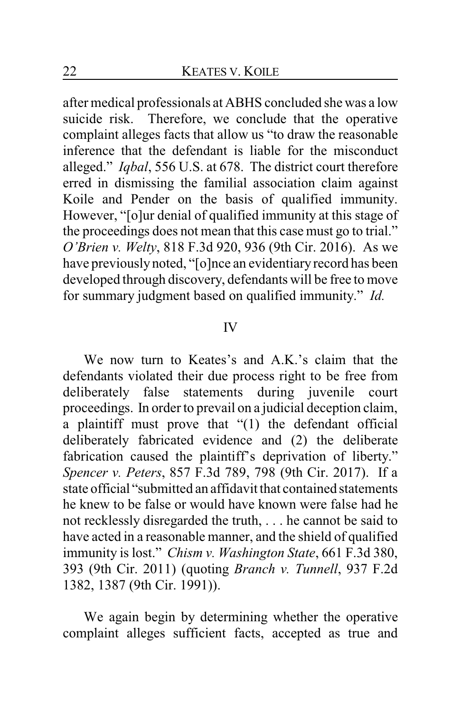after medical professionals at ABHS concluded she was a low suicide risk. Therefore, we conclude that the operative complaint alleges facts that allow us "to draw the reasonable inference that the defendant is liable for the misconduct alleged." *Iqbal*, 556 U.S. at 678. The district court therefore erred in dismissing the familial association claim against Koile and Pender on the basis of qualified immunity. However, "[o]ur denial of qualified immunity at this stage of the proceedings does not mean that this case must go to trial." *O'Brien v. Welty*, 818 F.3d 920, 936 (9th Cir. 2016). As we have previously noted, "[o]nce an evidentiary record has been developed through discovery, defendants will be free to move for summary judgment based on qualified immunity." *Id.*

#### IV

We now turn to Keates's and A.K.'s claim that the defendants violated their due process right to be free from deliberately false statements during juvenile court proceedings. In order to prevail on a judicial deception claim, a plaintiff must prove that "(1) the defendant official deliberately fabricated evidence and (2) the deliberate fabrication caused the plaintiff's deprivation of liberty." *Spencer v. Peters*, 857 F.3d 789, 798 (9th Cir. 2017). If a state official "submitted an affidavit that contained statements he knew to be false or would have known were false had he not recklessly disregarded the truth, . . . he cannot be said to have acted in a reasonable manner, and the shield of qualified immunity is lost." *Chism v. Washington State*, 661 F.3d 380, 393 (9th Cir. 2011) (quoting *Branch v. Tunnell*, 937 F.2d 1382, 1387 (9th Cir. 1991)).

We again begin by determining whether the operative complaint alleges sufficient facts, accepted as true and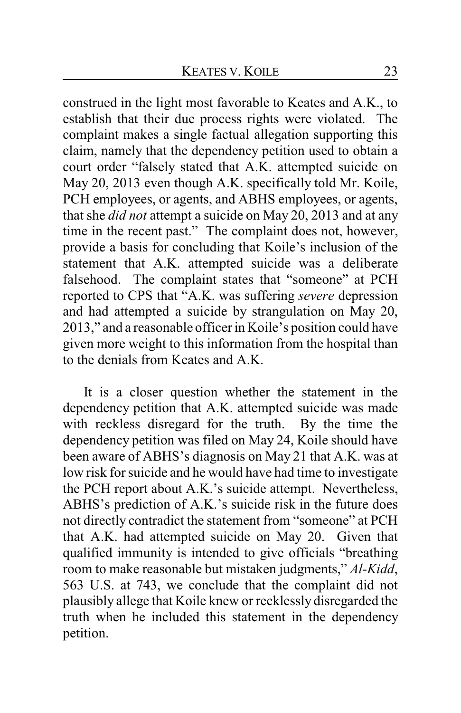construed in the light most favorable to Keates and A.K., to establish that their due process rights were violated. The complaint makes a single factual allegation supporting this claim, namely that the dependency petition used to obtain a court order "falsely stated that A.K. attempted suicide on May 20, 2013 even though A.K. specifically told Mr. Koile, PCH employees, or agents, and ABHS employees, or agents, that she *did not* attempt a suicide on May 20, 2013 and at any time in the recent past." The complaint does not, however, provide a basis for concluding that Koile's inclusion of the statement that A.K. attempted suicide was a deliberate falsehood. The complaint states that "someone" at PCH reported to CPS that "A.K. was suffering *severe* depression and had attempted a suicide by strangulation on May 20, 2013," and a reasonable officer in Koile's position could have given more weight to this information from the hospital than to the denials from Keates and A.K.

It is a closer question whether the statement in the dependency petition that A.K. attempted suicide was made with reckless disregard for the truth. By the time the dependency petition was filed on May 24, Koile should have been aware of ABHS's diagnosis on May 21 that A.K. was at low risk for suicide and he would have had time to investigate the PCH report about A.K.'s suicide attempt. Nevertheless, ABHS's prediction of A.K.'s suicide risk in the future does not directly contradict the statement from "someone" at PCH that A.K. had attempted suicide on May 20. Given that qualified immunity is intended to give officials "breathing room to make reasonable but mistaken judgments," *Al-Kidd*, 563 U.S. at 743, we conclude that the complaint did not plausibly allege that Koile knew or recklessly disregarded the truth when he included this statement in the dependency petition.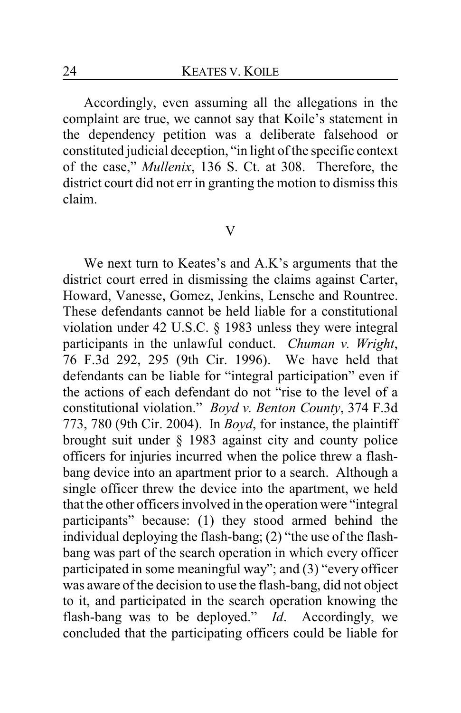Accordingly, even assuming all the allegations in the complaint are true, we cannot say that Koile's statement in the dependency petition was a deliberate falsehood or constituted judicial deception, "in light of the specific context of the case," *Mullenix*, 136 S. Ct. at 308. Therefore, the district court did not err in granting the motion to dismiss this claim.

#### V

We next turn to Keates's and A.K's arguments that the district court erred in dismissing the claims against Carter, Howard, Vanesse, Gomez, Jenkins, Lensche and Rountree. These defendants cannot be held liable for a constitutional violation under 42 U.S.C. § 1983 unless they were integral participants in the unlawful conduct. *Chuman v. Wright*, 76 F.3d 292, 295 (9th Cir. 1996). We have held that defendants can be liable for "integral participation" even if the actions of each defendant do not "rise to the level of a constitutional violation." *Boyd v. Benton County*, 374 F.3d 773, 780 (9th Cir. 2004). In *Boyd*, for instance, the plaintiff brought suit under § 1983 against city and county police officers for injuries incurred when the police threw a flashbang device into an apartment prior to a search. Although a single officer threw the device into the apartment, we held that the other officers involved in the operation were "integral participants" because: (1) they stood armed behind the individual deploying the flash-bang; (2) "the use of the flashbang was part of the search operation in which every officer participated in some meaningful way"; and (3) "every officer was aware of the decision to use the flash-bang, did not object to it, and participated in the search operation knowing the flash-bang was to be deployed." *Id*. Accordingly, we concluded that the participating officers could be liable for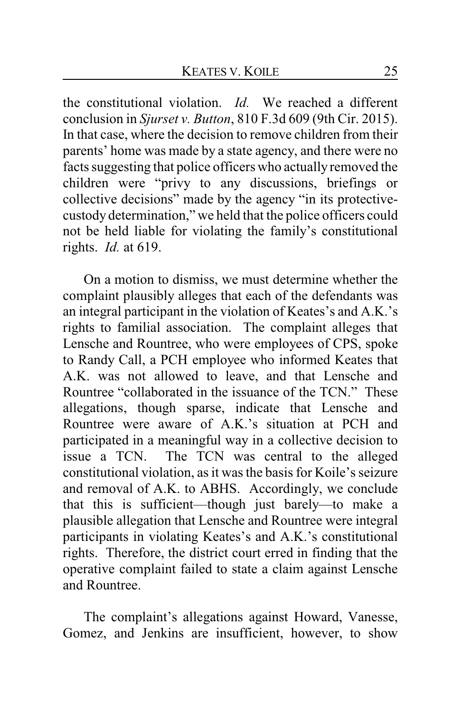the constitutional violation. *Id.* We reached a different conclusion in *Sjurset v. Button*, 810 F.3d 609 (9th Cir. 2015). In that case, where the decision to remove children from their parents' home was made by a state agency, and there were no facts suggesting that police officers who actually removed the children were "privy to any discussions, briefings or collective decisions" made by the agency "in its protectivecustody determination," we held that the police officers could not be held liable for violating the family's constitutional rights. *Id.* at 619.

On a motion to dismiss, we must determine whether the complaint plausibly alleges that each of the defendants was an integral participant in the violation of Keates's and A.K.'s rights to familial association. The complaint alleges that Lensche and Rountree, who were employees of CPS, spoke to Randy Call, a PCH employee who informed Keates that A.K. was not allowed to leave, and that Lensche and Rountree "collaborated in the issuance of the TCN." These allegations, though sparse, indicate that Lensche and Rountree were aware of A.K.'s situation at PCH and participated in a meaningful way in a collective decision to issue a TCN. The TCN was central to the alleged constitutional violation, as it was the basis for Koile's seizure and removal of A.K. to ABHS. Accordingly, we conclude that this is sufficient—though just barely—to make a plausible allegation that Lensche and Rountree were integral participants in violating Keates's and A.K.'s constitutional rights. Therefore, the district court erred in finding that the operative complaint failed to state a claim against Lensche and Rountree.

The complaint's allegations against Howard, Vanesse, Gomez, and Jenkins are insufficient, however, to show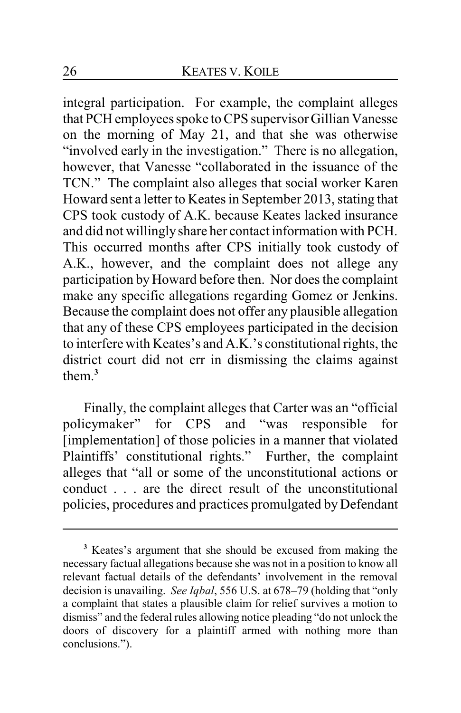integral participation. For example, the complaint alleges that PCH employees spoke to CPS supervisor Gillian Vanesse on the morning of May 21, and that she was otherwise "involved early in the investigation." There is no allegation, however, that Vanesse "collaborated in the issuance of the TCN." The complaint also alleges that social worker Karen Howard sent a letter to Keates in September 2013, stating that CPS took custody of A.K. because Keates lacked insurance and did not willinglyshare her contact information with PCH. This occurred months after CPS initially took custody of A.K., however, and the complaint does not allege any participation by Howard before then. Nor does the complaint make any specific allegations regarding Gomez or Jenkins. Because the complaint does not offer any plausible allegation that any of these CPS employees participated in the decision to interfere with Keates's and A.K.'s constitutional rights, the district court did not err in dismissing the claims against them $3$ 

Finally, the complaint alleges that Carter was an "official policymaker" for CPS and "was responsible for [implementation] of those policies in a manner that violated Plaintiffs' constitutional rights." Further, the complaint alleges that "all or some of the unconstitutional actions or conduct . . . are the direct result of the unconstitutional policies, procedures and practices promulgated by Defendant

**<sup>3</sup>** Keates's argument that she should be excused from making the necessary factual allegations because she was not in a position to know all relevant factual details of the defendants' involvement in the removal decision is unavailing. *See Iqbal*, 556 U.S. at 678–79 (holding that "only a complaint that states a plausible claim for relief survives a motion to dismiss" and the federal rules allowing notice pleading "do not unlock the doors of discovery for a plaintiff armed with nothing more than conclusions.").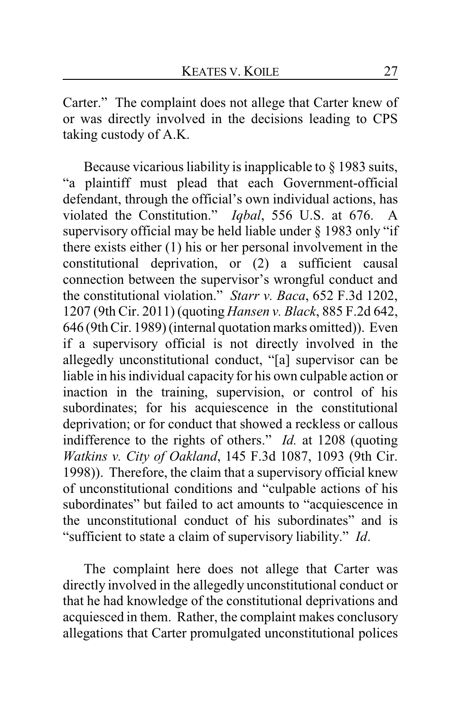Carter." The complaint does not allege that Carter knew of or was directly involved in the decisions leading to CPS taking custody of A.K.

Because vicarious liability is inapplicable to § 1983 suits, "a plaintiff must plead that each Government-official defendant, through the official's own individual actions, has violated the Constitution." *Iqbal*, 556 U.S. at 676. A supervisory official may be held liable under § 1983 only "if there exists either (1) his or her personal involvement in the constitutional deprivation, or (2) a sufficient causal connection between the supervisor's wrongful conduct and the constitutional violation." *Starr v. Baca*, 652 F.3d 1202, 1207 (9th Cir. 2011) (quoting *Hansen v. Black*, 885 F.2d 642, 646 (9th Cir. 1989) (internal quotation marks omitted)). Even if a supervisory official is not directly involved in the allegedly unconstitutional conduct, "[a] supervisor can be liable in his individual capacity for his own culpable action or inaction in the training, supervision, or control of his subordinates; for his acquiescence in the constitutional deprivation; or for conduct that showed a reckless or callous indifference to the rights of others." *Id.* at 1208 (quoting *Watkins v. City of Oakland*, 145 F.3d 1087, 1093 (9th Cir. 1998)). Therefore, the claim that a supervisory official knew of unconstitutional conditions and "culpable actions of his subordinates" but failed to act amounts to "acquiescence in the unconstitutional conduct of his subordinates" and is "sufficient to state a claim of supervisory liability." *Id*.

The complaint here does not allege that Carter was directly involved in the allegedly unconstitutional conduct or that he had knowledge of the constitutional deprivations and acquiesced in them. Rather, the complaint makes conclusory allegations that Carter promulgated unconstitutional polices